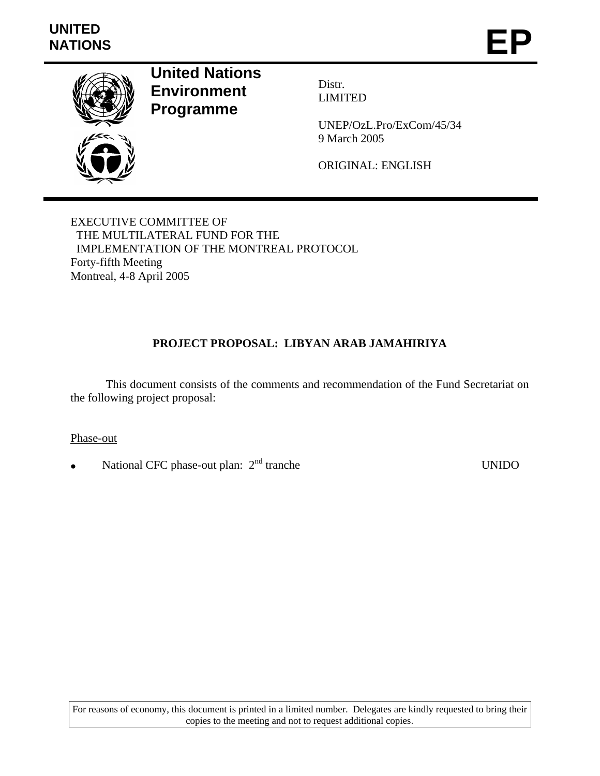

**United Nations Environment Programme** 

Distr. LIMITED

UNEP/OzL.Pro/ExCom/45/34 9 March 2005

ORIGINAL: ENGLISH

EXECUTIVE COMMITTEE OF THE MULTILATERAL FUND FOR THE IMPLEMENTATION OF THE MONTREAL PROTOCOL Forty-fifth Meeting Montreal, 4-8 April 2005

# **PROJECT PROPOSAL: LIBYAN ARAB JAMAHIRIYA**

 This document consists of the comments and recommendation of the Fund Secretariat on the following project proposal:

Phase-out

• National CFC phase-out plan: 2nd tranche UNIDO

For reasons of economy, this document is printed in a limited number. Delegates are kindly requested to bring their copies to the meeting and not to request additional copies.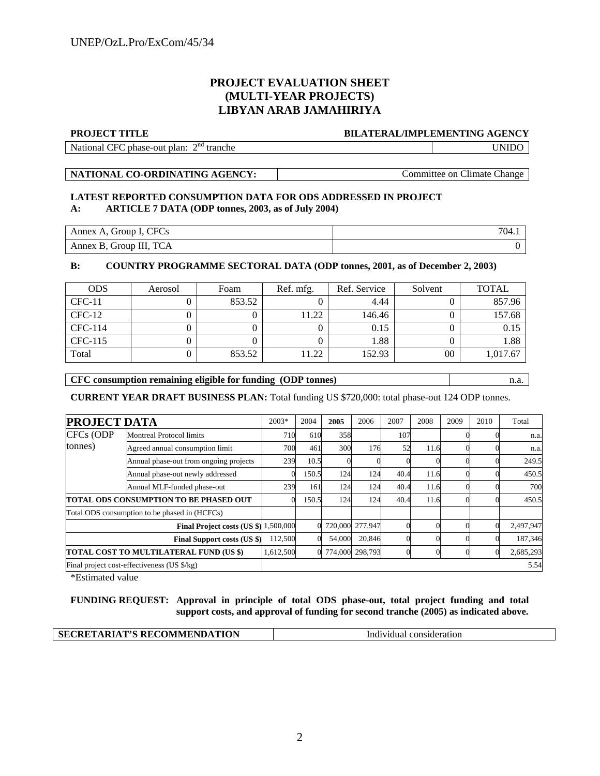## **PROJECT EVALUATION SHEET (MULTI-YEAR PROJECTS) LIBYAN ARAB JAMAHIRIYA**

#### **PROJECT TITLE BILATERAL/IMPLEMENTING AGENCY**

National CFC phase-out plan: 2<sup>nd</sup> tranche tranche UNIDO

**NATIONAL CO-ORDINATING AGENCY:** Committee on Climate Change

### **LATEST REPORTED CONSUMPTION DATA FOR ODS ADDRESSED IN PROJECT A: ARTICLE 7 DATA (ODP tonnes, 2003, as of July 2004)**

| Annex A, Group I, CFCs  | 704. |
|-------------------------|------|
| Annex B, Group III, TCA |      |

## **B: COUNTRY PROGRAMME SECTORAL DATA (ODP tonnes, 2001, as of December 2, 2003)**

| <b>ODS</b> | Aerosol | Foam   | Ref. mfg. | Ref. Service | Solvent | <b>TOTAL</b> |
|------------|---------|--------|-----------|--------------|---------|--------------|
| $CFC-11$   |         | 853.52 |           | 4.44         |         | 857.96       |
| $CFC-12$   |         |        | 11.22     | 146.46       |         | 157.68       |
| CFC-114    |         |        |           | 0.15         |         | 0.15         |
| CFC-115    |         |        |           | 1.88         |         | 1.88         |
| Total      |         | 853.52 | 11.22     | 152.93       | 00      | 1,017.67     |

### **CFC consumption remaining eligible for funding (ODP tonnes)** n.a.

**CURRENT YEAR DRAFT BUSINESS PLAN:** Total funding US \$720,000: total phase-out 124 ODP tonnes.

| <b>PROJECT DATA</b>                            |                                               | $2003*$   | 2004  | 2005   | 2006            | 2007 | 2008 | 2009 | 2010 | Total     |
|------------------------------------------------|-----------------------------------------------|-----------|-------|--------|-----------------|------|------|------|------|-----------|
| CFCs (ODP                                      | <b>Montreal Protocol limits</b>               | 710       | 610   | 358    |                 | 107  |      |      |      | n.a.      |
| tonnes)                                        | Agreed annual consumption limit               | 700       | 461   | 300    | 176             | 52   | 11.6 |      |      | n.a.      |
|                                                | Annual phase-out from ongoing projects        | 239       | 10.5  |        |                 |      |      |      |      | 249.5     |
|                                                | Annual phase-out newly addressed              |           | 150.5 | 124    | 124             | 40.4 | 11.6 |      |      | 450.5     |
|                                                | Annual MLF-funded phase-out                   | 239       | 161   | 124    | 124             | 40.4 | 11.6 |      |      | 700       |
| <b>ITOTAL ODS CONSUMPTION TO BE PHASED OUT</b> |                                               |           | 150.5 | 124    | 124             | 40.4 | 11.6 |      |      | 450.5     |
|                                                | Total ODS consumption to be phased in (HCFCs) |           |       |        |                 |      |      |      |      |           |
|                                                | Final Project costs (US \$) 1,500,000         |           |       |        | 720,000 277,947 |      |      |      |      | 2,497,947 |
|                                                | <b>Final Support costs (US \$)</b>            | 112,500   |       | 54,000 | 20,846          |      |      |      |      | 187,346   |
|                                                | TOTAL COST TO MULTILATERAL FUND (US \$)       | 1,612,500 |       |        | 774,000 298,793 |      |      |      |      | 2,685,293 |
|                                                | Final project cost-effectiveness (US \$/kg)   |           |       |        |                 |      |      |      |      | 5.54      |

\*Estimated value

**FUNDING REQUEST: Approval in principle of total ODS phase-out, total project funding and total support costs, and approval of funding for second tranche (2005) as indicated above.** 

| SECRETARIAT'S RECOMMENDATION | consideration<br>ിvidual പ<br>l ndı |
|------------------------------|-------------------------------------|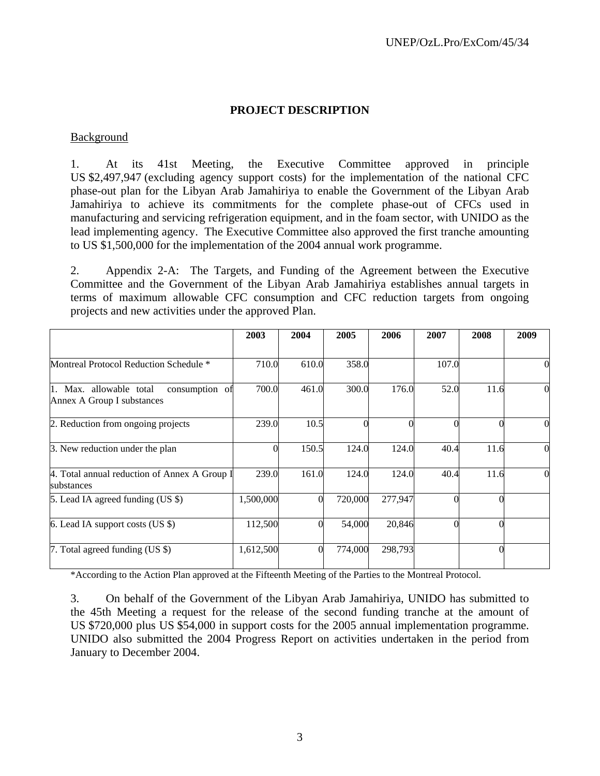## **PROJECT DESCRIPTION**

## Background

1. At its 41st Meeting, the Executive Committee approved in principle US \$2,497,947 (excluding agency support costs) for the implementation of the national CFC phase-out plan for the Libyan Arab Jamahiriya to enable the Government of the Libyan Arab Jamahiriya to achieve its commitments for the complete phase-out of CFCs used in manufacturing and servicing refrigeration equipment, and in the foam sector, with UNIDO as the lead implementing agency. The Executive Committee also approved the first tranche amounting to US \$1,500,000 for the implementation of the 2004 annual work programme.

2. Appendix 2-A: The Targets, and Funding of the Agreement between the Executive Committee and the Government of the Libyan Arab Jamahiriya establishes annual targets in terms of maximum allowable CFC consumption and CFC reduction targets from ongoing projects and new activities under the approved Plan.

|                                                                         | 2003      | 2004  | 2005    | 2006    | 2007  | 2008 | 2009     |
|-------------------------------------------------------------------------|-----------|-------|---------|---------|-------|------|----------|
| Montreal Protocol Reduction Schedule *                                  | 710.0     | 610.0 | 358.0   |         | 107.0 |      | 0        |
| consumption of<br>1. Max. allowable total<br>Annex A Group I substances | 700.0     | 461.0 | 300.0   | 176.0   | 52.0  | 11.6 | $\theta$ |
| 2. Reduction from ongoing projects                                      | 239.0     | 10.5  |         |         |       |      | $\Omega$ |
| 3. New reduction under the plan                                         |           | 150.5 | 124.0   | 124.0   | 40.4  | 11.6 | $\Omega$ |
| 4. Total annual reduction of Annex A Group I<br>substances              | 239.0     | 161.0 | 124.0   | 124.0   | 40.4  | 11.6 | $\Omega$ |
| 5. Lead IA agreed funding (US \$)                                       | 1,500,000 |       | 720,000 | 277,947 |       |      |          |
| 6. Lead IA support costs $(US \$ )                                      | 112,500   |       | 54,000  | 20,846  |       |      |          |
| 7. Total agreed funding (US \$)                                         | 1,612,500 |       | 774,000 | 298,793 |       |      |          |

\*According to the Action Plan approved at the Fifteenth Meeting of the Parties to the Montreal Protocol.

3. On behalf of the Government of the Libyan Arab Jamahiriya, UNIDO has submitted to the 45th Meeting a request for the release of the second funding tranche at the amount of US \$720,000 plus US \$54,000 in support costs for the 2005 annual implementation programme. UNIDO also submitted the 2004 Progress Report on activities undertaken in the period from January to December 2004.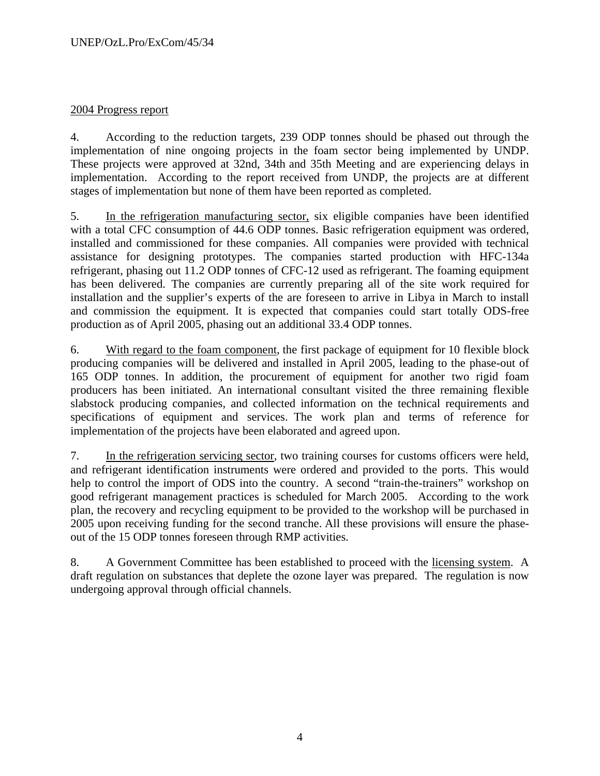# 2004 Progress report

4. According to the reduction targets, 239 ODP tonnes should be phased out through the implementation of nine ongoing projects in the foam sector being implemented by UNDP. These projects were approved at 32nd, 34th and 35th Meeting and are experiencing delays in implementation. According to the report received from UNDP, the projects are at different stages of implementation but none of them have been reported as completed.

5. In the refrigeration manufacturing sector, six eligible companies have been identified with a total CFC consumption of 44.6 ODP tonnes. Basic refrigeration equipment was ordered, installed and commissioned for these companies. All companies were provided with technical assistance for designing prototypes. The companies started production with HFC-134a refrigerant, phasing out 11.2 ODP tonnes of CFC-12 used as refrigerant. The foaming equipment has been delivered. The companies are currently preparing all of the site work required for installation and the supplier's experts of the are foreseen to arrive in Libya in March to install and commission the equipment. It is expected that companies could start totally ODS-free production as of April 2005, phasing out an additional 33.4 ODP tonnes.

6. With regard to the foam component, the first package of equipment for 10 flexible block producing companies will be delivered and installed in April 2005, leading to the phase-out of 165 ODP tonnes. In addition, the procurement of equipment for another two rigid foam producers has been initiated. An international consultant visited the three remaining flexible slabstock producing companies, and collected information on the technical requirements and specifications of equipment and services. The work plan and terms of reference for implementation of the projects have been elaborated and agreed upon.

7. In the refrigeration servicing sector, two training courses for customs officers were held, and refrigerant identification instruments were ordered and provided to the ports. This would help to control the import of ODS into the country. A second "train-the-trainers" workshop on good refrigerant management practices is scheduled for March 2005. According to the work plan, the recovery and recycling equipment to be provided to the workshop will be purchased in 2005 upon receiving funding for the second tranche. All these provisions will ensure the phaseout of the 15 ODP tonnes foreseen through RMP activities.

8. A Government Committee has been established to proceed with the licensing system. A draft regulation on substances that deplete the ozone layer was prepared. The regulation is now undergoing approval through official channels.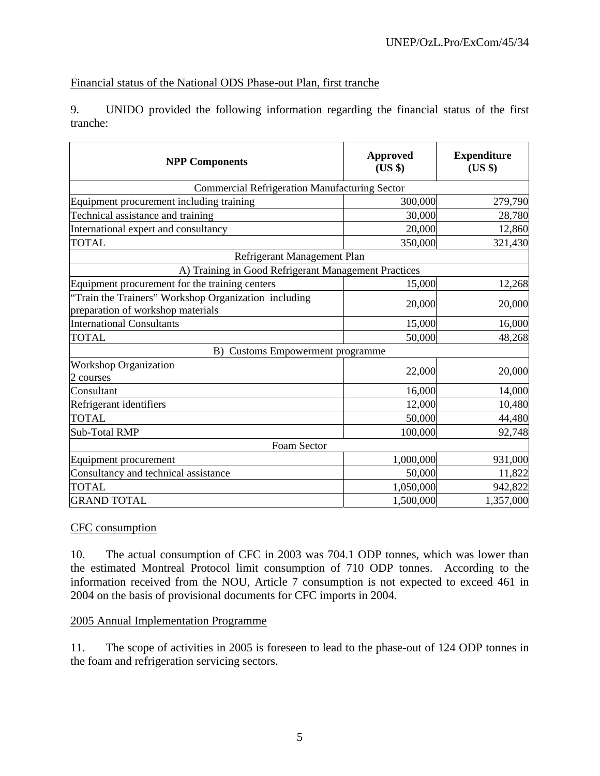# Financial status of the National ODS Phase-out Plan, first tranche

9. UNIDO provided the following information regarding the financial status of the first tranche:

| <b>NPP Components</b>                                                                     | <b>Approved</b><br>(US \$) | <b>Expenditure</b><br>(US \$) |  |
|-------------------------------------------------------------------------------------------|----------------------------|-------------------------------|--|
| <b>Commercial Refrigeration Manufacturing Sector</b>                                      |                            |                               |  |
| Equipment procurement including training                                                  | 300,000                    | 279,790                       |  |
| Technical assistance and training                                                         | 30,000                     | 28,780                        |  |
| International expert and consultancy                                                      | 20,000                     | 12,860                        |  |
| <b>TOTAL</b>                                                                              | 350,000                    | 321,430                       |  |
| Refrigerant Management Plan                                                               |                            |                               |  |
| A) Training in Good Refrigerant Management Practices                                      |                            |                               |  |
| Equipment procurement for the training centers                                            | 15,000                     | 12,268                        |  |
| "Train the Trainers" Workshop Organization including<br>preparation of workshop materials | 20,000                     | 20,000                        |  |
| <b>International Consultants</b>                                                          | 15,000                     | 16,000                        |  |
| <b>TOTAL</b>                                                                              | 50,000                     | 48,268                        |  |
| <b>Customs Empowerment programme</b><br>B)                                                |                            |                               |  |
| <b>Workshop Organization</b><br>2 courses                                                 | 22,000                     | 20,000                        |  |
| Consultant                                                                                | 16,000                     | 14,000                        |  |
| Refrigerant identifiers                                                                   | 12,000                     | 10,480                        |  |
| <b>TOTAL</b>                                                                              | 50,000                     | 44,480                        |  |
| Sub-Total RMP                                                                             | 100,000                    | 92,748                        |  |
| Foam Sector                                                                               |                            |                               |  |
| Equipment procurement                                                                     | 1,000,000                  | 931,000                       |  |
| Consultancy and technical assistance                                                      | 50,000                     | 11,822                        |  |
| <b>TOTAL</b>                                                                              | 1,050,000                  | 942,822                       |  |
| <b>GRAND TOTAL</b>                                                                        | 1,500,000                  | 1,357,000                     |  |

# CFC consumption

10. The actual consumption of CFC in 2003 was 704.1 ODP tonnes, which was lower than the estimated Montreal Protocol limit consumption of 710 ODP tonnes. According to the information received from the NOU, Article 7 consumption is not expected to exceed 461 in 2004 on the basis of provisional documents for CFC imports in 2004.

## 2005 Annual Implementation Programme

11. The scope of activities in 2005 is foreseen to lead to the phase-out of 124 ODP tonnes in the foam and refrigeration servicing sectors.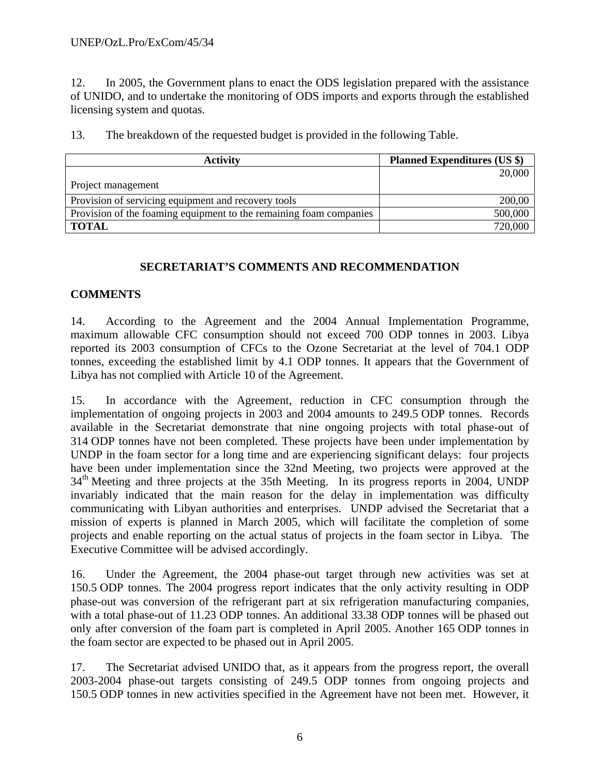12. In 2005, the Government plans to enact the ODS legislation prepared with the assistance of UNIDO, and to undertake the monitoring of ODS imports and exports through the established licensing system and quotas.

13. The breakdown of the requested budget is provided in the following Table.

| <b>Activity</b>                                                    | <b>Planned Expenditures (US \$)</b> |
|--------------------------------------------------------------------|-------------------------------------|
|                                                                    | 20,000                              |
| Project management                                                 |                                     |
| Provision of servicing equipment and recovery tools                | 200,00                              |
| Provision of the foaming equipment to the remaining foam companies | 500,000                             |
| <b>TOTAL</b>                                                       | 720,000                             |

# **SECRETARIAT'S COMMENTS AND RECOMMENDATION**

# **COMMENTS**

14. According to the Agreement and the 2004 Annual Implementation Programme, maximum allowable CFC consumption should not exceed 700 ODP tonnes in 2003. Libya reported its 2003 consumption of CFCs to the Ozone Secretariat at the level of 704.1 ODP tonnes, exceeding the established limit by 4.1 ODP tonnes. It appears that the Government of Libya has not complied with Article 10 of the Agreement.

15. In accordance with the Agreement, reduction in CFC consumption through the implementation of ongoing projects in 2003 and 2004 amounts to 249.5 ODP tonnes. Records available in the Secretariat demonstrate that nine ongoing projects with total phase-out of 314 ODP tonnes have not been completed. These projects have been under implementation by UNDP in the foam sector for a long time and are experiencing significant delays: four projects have been under implementation since the 32nd Meeting, two projects were approved at the 34<sup>th</sup> Meeting and three projects at the 35th Meeting. In its progress reports in 2004, UNDP invariably indicated that the main reason for the delay in implementation was difficulty communicating with Libyan authorities and enterprises. UNDP advised the Secretariat that a mission of experts is planned in March 2005, which will facilitate the completion of some projects and enable reporting on the actual status of projects in the foam sector in Libya. The Executive Committee will be advised accordingly.

16. Under the Agreement, the 2004 phase-out target through new activities was set at 150.5 ODP tonnes. The 2004 progress report indicates that the only activity resulting in ODP phase-out was conversion of the refrigerant part at six refrigeration manufacturing companies, with a total phase-out of 11.23 ODP tonnes. An additional 33.38 ODP tonnes will be phased out only after conversion of the foam part is completed in April 2005. Another 165 ODP tonnes in the foam sector are expected to be phased out in April 2005.

17. The Secretariat advised UNIDO that, as it appears from the progress report, the overall 2003-2004 phase-out targets consisting of 249.5 ODP tonnes from ongoing projects and 150.5 ODP tonnes in new activities specified in the Agreement have not been met. However, it